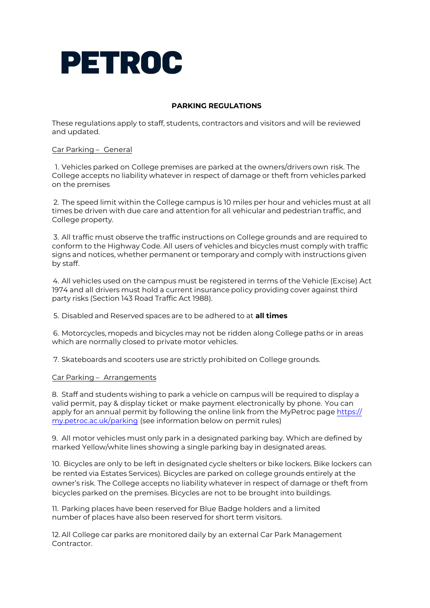

# **PARKING REGULATIONS**

These regulations apply to staff, students, contractors and visitors and will be reviewed and updated.

## Car Parking – General

1. Vehicles parked on College premises are parked at the owners/drivers own risk. The College accepts no liability whatever in respect of damage or theft from vehicles parked on the premises

2. The speed limit within the College campus is 10 miles per hour and vehicles must at all times be driven with due care and attention for all vehicular and pedestrian traffic, and College property.

3. All traffic must observe the traffic instructions on College grounds and are required to conform to the Highway Code. All users of vehicles and bicycles must comply with traffic signs and notices, whether permanent or temporary and comply with instructions given by staff.

4. All vehicles used on the campus must be registered in terms of the Vehicle (Excise) Act 1974 and all drivers must hold a current insurance policy providing cover against third party risks (Section 143 Road Traffic Act 1988).

5. Disabled and Reserved spaces are to be adhered to at **all times**

6. Motorcycles, mopeds and bicycles may not be ridden along College paths or in areas which are normally closed to private motor vehicles.

7. Skateboards and scooters use are strictly prohibited on College grounds.

## Car Parking – Arrangements

8. Staff and students wishing to park a vehicle on campus will be required to display a valid permit, pay & display ticket or make payment electronically by phone. You can apply for an annual permit by following the online link from the MyPetroc page https:// [my.petroc.ac.uk/parking](https://my.petroc.ac.uk/parking) (see information below on permit rules)

9. All motor vehicles must only park in a designated parking bay. Which are defined by marked Yellow/white lines showing a single parking bay in designated areas.

10. Bicycles are only to be left in designated cycle shelters or bike lockers. Bike lockers can be rented via Estates Services). Bicycles are parked on college grounds entirely at the owner's risk. The College accepts no liability whatever in respect of damage or theft from bicycles parked on the premises. Bicycles are not to be brought into buildings.

11. Parking places have been reserved for Blue Badge holders and a limited number of places have also been reserved for short term visitors.

12. All College car parks are monitored daily by an external Car Park Management Contractor.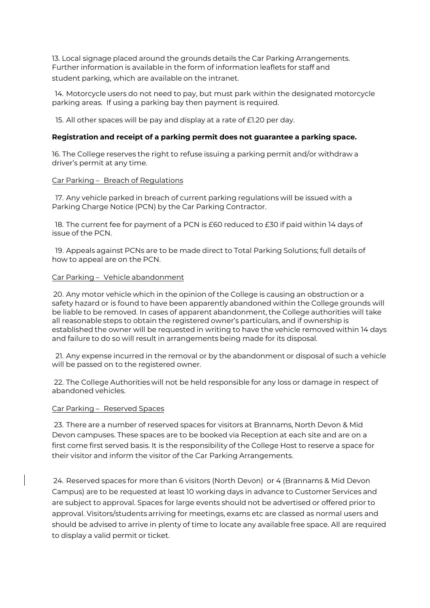13. Local signage placed around the grounds details the Car Parking Arrangements. Further information is available in the form of information leaflets for staff and student parking, which are available on the intranet.

14. Motorcycle users do not need to pay, but must park within the designated motorcycle parking areas. If using a parking bay then payment is required.

15. All other spaces will be pay and display at a rate of £1.20 per day.

## **Registration and receipt of a parking permit does not guarantee a parking space.**

16. The College reserves the right to refuse issuing a parking permit and/or withdraw a driver's permit at any time.

#### Car Parking – Breach of Regulations

17. Any vehicle parked in breach of current parking regulations will be issued with a Parking Charge Notice (PCN) by the Car Parking Contractor.

18. The current fee for payment of a PCN is £60 reduced to £30 if paid within 14 days of issue of the PCN.

19. Appeals against PCNs are to be made direct to Total Parking Solutions; full details of how to appeal are on the PCN.

#### Car Parking – Vehicle abandonment

20. Any motor vehicle which in the opinion of the College is causing an obstruction or a safety hazard or is found to have been apparently abandoned within the College grounds will be liable to be removed. In cases of apparent abandonment, the College authorities will take all reasonable steps to obtain the registered owner's particulars, and if ownership is established the owner will be requested in writing to have the vehicle removed within 14 days and failure to do so will result in arrangements being made for its disposal.

21. Any expense incurred in the removal or by the abandonment or disposal of such a vehicle will be passed on to the registered owner.

22. The College Authorities will not be held responsible for any loss or damage in respect of abandoned vehicles.

#### Car Parking – Reserved Spaces

23. There are a number of reserved spaces for visitors at Brannams, North Devon & Mid Devon campuses. These spaces are to be booked via Reception at each site and are on a first come first served basis. It is the responsibility of the College Host to reserve a space for their visitor and inform the visitor of the Car Parking Arrangements.

24. Reserved spaces for more than 6 visitors (North Devon) or 4 (Brannams & Mid Devon Campus) are to be requested at least 10 working days in advance to Customer Services and are subject to approval. Spaces for large events should not be advertised or offered prior to approval. Visitors/students arriving for meetings, exams etc are classed as normal users and should be advised to arrive in plenty of time to locate any available free space. All are required to display a valid permit or ticket.